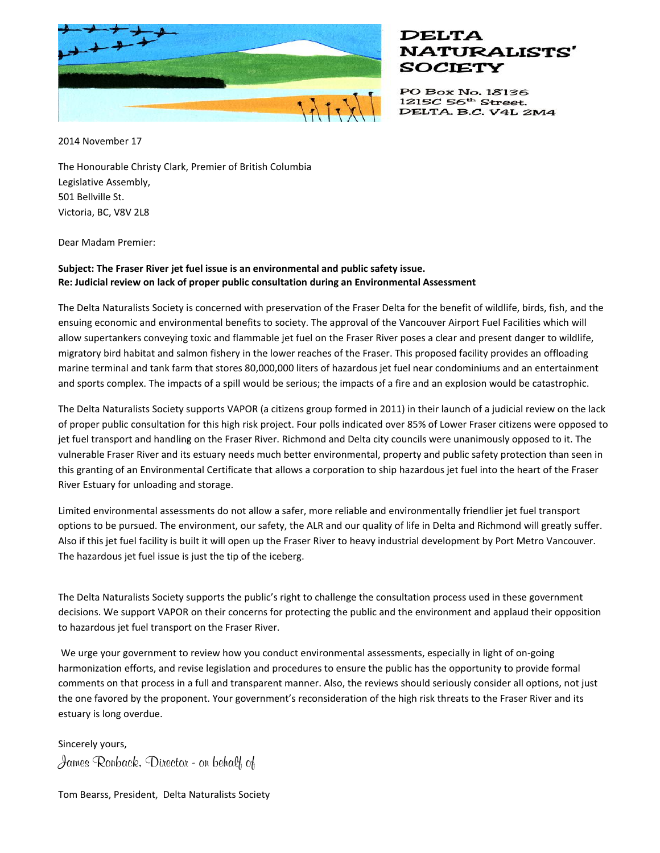

## **DELTA NATURALISTS'** SOCIETY

PO Box No. 18136 1215C 56<sup>th</sup> Street. DELTA. B.C. V4L 2M4

2014 November 17

The Honourable Christy Clark, Premier of British Columbia Legislative Assembly, 501 Bellville St. Victoria, BC, V8V 2L8

Dear Madam Premier:

## **Subject: The Fraser River jet fuel issue is an environmental and public safety issue. Re: Judicial review on lack of proper public consultation during an Environmental Assessment**

The Delta Naturalists Society is concerned with preservation of the Fraser Delta for the benefit of wildlife, birds, fish, and the ensuing economic and environmental benefits to society. The approval of the Vancouver Airport Fuel Facilities which will allow supertankers conveying toxic and flammable jet fuel on the Fraser River poses a clear and present danger to wildlife, migratory bird habitat and salmon fishery in the lower reaches of the Fraser. This proposed facility provides an offloading marine terminal and tank farm that stores 80,000,000 liters of hazardous jet fuel near condominiums and an entertainment and sports complex. The impacts of a spill would be serious; the impacts of a fire and an explosion would be catastrophic.

The Delta Naturalists Society supports VAPOR (a citizens group formed in 2011) in their launch of a judicial review on the lack of proper public consultation for this high risk project. Four polls indicated over 85% of Lower Fraser citizens were opposed to jet fuel transport and handling on the Fraser River. Richmond and Delta city councils were unanimously opposed to it. The vulnerable Fraser River and its estuary needs much better environmental, property and public safety protection than seen in this granting of an Environmental Certificate that allows a corporation to ship hazardous jet fuel into the heart of the Fraser River Estuary for unloading and storage.

Limited environmental assessments do not allow a safer, more reliable and environmentally friendlier jet fuel transport options to be pursued. The environment, our safety, the ALR and our quality of life in Delta and Richmond will greatly suffer. Also if this jet fuel facility is built it will open up the Fraser River to heavy industrial development by Port Metro Vancouver. The hazardous jet fuel issue is just the tip of the iceberg.

The Delta Naturalists Society supports the public's right to challenge the consultation process used in these government decisions. We support VAPOR on their concerns for protecting the public and the environment and applaud their opposition to hazardous jet fuel transport on the Fraser River.

We urge your government to review how you conduct environmental assessments, especially in light of on-going harmonization efforts, and revise legislation and procedures to ensure the public has the opportunity to provide formal comments on that process in a full and transparent manner. Also, the reviews should seriously consider all options, not just the one favored by the proponent. Your government's reconsideration of the high risk threats to the Fraser River and its estuary is long overdue.

Sincerely yours, **James Ronback, Director - on behalf of**

Tom Bearss, President, Delta Naturalists Society